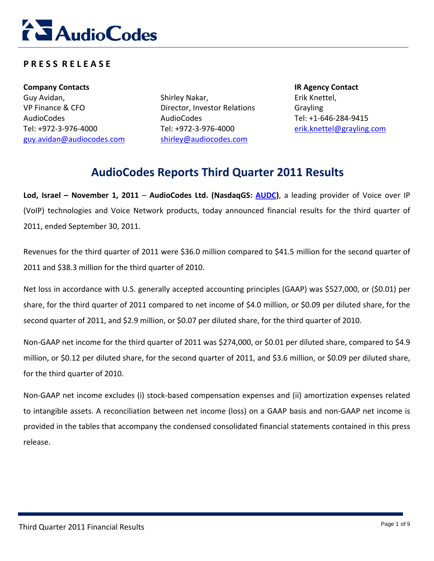

# **P R E S S R E L E A S E**

**Company Contacts IR Agency Contact** Guy Avidan, VP Finance & CFO AudioCodes Tel: +972‐3‐976‐4000 guy.avidan@audiocodes.com

Shirley Nakar, Director, Investor Relations AudioCodes Tel: +972‐3‐976‐4000 shirley@audiocodes.com

Erik Knettel, Grayling Tel: +1‐646‐284‐9415 erik.knettel@grayling.com

# **AudioCodes Reports Third Quarter 2011 Results**

**Lod, Israel – November 1, 2011** – **AudioCodes Ltd. (NasdaqGS: AUDC)**, a leading provider of Voice over IP (VoIP) technologies and Voice Network products, today announced financial results for the third quarter of 2011, ended September 30, 2011.

Revenues for the third quarter of 2011 were \$36.0 million compared to \$41.5 million for the second quarter of 2011 and \$38.3 million for the third quarter of 2010.

Net loss in accordance with U.S. generally accepted accounting principles (GAAP) was \$527,000, or (\$0.01) per share, for the third quarter of 2011 compared to net income of \$4.0 million, or \$0.09 per diluted share, for the second quarter of 2011, and \$2.9 million, or \$0.07 per diluted share, for the third quarter of 2010.

Non‐GAAP net income for the third quarter of 2011 was \$274,000, or \$0.01 per diluted share, compared to \$4.9 million, or \$0.12 per diluted share, for the second quarter of 2011, and \$3.6 million, or \$0.09 per diluted share, for the third quarter of 2010.

Non-GAAP net income excludes (i) stock-based compensation expenses and (ii) amortization expenses related to intangible assets. A reconciliation between net income (loss) on a GAAP basis and non‐GAAP net income is provided in the tables that accompany the condensed consolidated financial statements contained in this press release.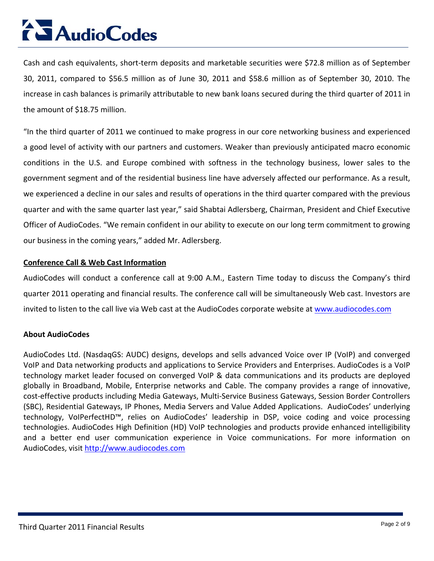# **AudioCodes**

Cash and cash equivalents, short‐term deposits and marketable securities were \$72.8 million as of September 30, 2011, compared to \$56.5 million as of June 30, 2011 and \$58.6 million as of September 30, 2010. The increase in cash balances is primarily attributable to new bank loans secured during the third quarter of 2011 in the amount of \$18.75 million.

"In the third quarter of 2011 we continued to make progress in our core networking business and experienced a good level of activity with our partners and customers. Weaker than previously anticipated macro economic conditions in the U.S. and Europe combined with softness in the technology business, lower sales to the government segment and of the residential business line have adversely affected our performance. As a result, we experienced a decline in our sales and results of operations in the third quarter compared with the previous quarter and with the same quarter last year," said Shabtai Adlersberg, Chairman, President and Chief Executive Officer of AudioCodes. "We remain confident in our ability to execute on our long term commitment to growing our business in the coming years," added Mr. Adlersberg.

#### **Conference Call & Web Cast Information**

AudioCodes will conduct a conference call at 9:00 A.M., Eastern Time today to discuss the Company's third quarter 2011 operating and financial results. The conference call will be simultaneously Web cast. Investors are invited to listen to the call live via Web cast at the AudioCodes corporate website at www.audiocodes.com

# **About AudioCodes**

AudioCodes Ltd. (NasdaqGS: AUDC) designs, develops and sells advanced Voice over IP (VoIP) and converged VoIP and Data networking products and applications to Service Providers and Enterprises. AudioCodes is a VoIP technology market leader focused on converged VoIP & data communications and its products are deployed globally in Broadband, Mobile, Enterprise networks and Cable. The company provides a range of innovative, cost‐effective products including Media Gateways, Multi‐Service Business Gateways, Session Border Controllers (SBC), Residential Gateways, IP Phones, Media Servers and Value Added Applications. AudioCodes' underlying technology, VoIPerfectHD™, relies on AudioCodes' leadership in DSP, voice coding and voice processing technologies. AudioCodes High Definition (HD) VoIP technologies and products provide enhanced intelligibility and a better end user communication experience in Voice communications. For more information on AudioCodes, visit http://www.audiocodes.com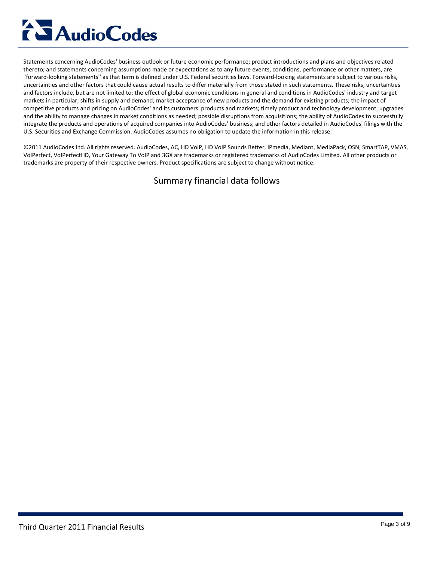# **AudioCodes**

Statements concerning AudioCodes' business outlook or future economic performance; product introductions and plans and objectives related thereto; and statements concerning assumptions made or expectations as to any future events, conditions, performance or other matters, are "forward‐looking statements'' as that term is defined under U.S. Federal securities laws. Forward‐looking statements are subject to various risks, uncertainties and other factors that could cause actual results to differ materially from those stated in such statements. These risks, uncertainties and factors include, but are not limited to: the effect of global economic conditions in general and conditions in AudioCodes' industry and target markets in particular; shifts in supply and demand; market acceptance of new products and the demand for existing products; the impact of competitive products and pricing on AudioCodes' and its customers' products and markets; timely product and technology development, upgrades and the ability to manage changes in market conditions as needed; possible disruptions from acquisitions; the ability of AudioCodes to successfully integrate the products and operations of acquired companies into AudioCodes' business; and other factors detailed in AudioCodes' filings with the U.S. Securities and Exchange Commission. AudioCodes assumes no obligation to update the information in this release.

©2011 AudioCodes Ltd. All rights reserved. AudioCodes, AC, HD VoIP, HD VoIP Sounds Better, IPmedia, Mediant, MediaPack, OSN, SmartTAP, VMAS, VoIPerfect, VoIPerfectHD, Your Gateway To VoIP and 3GX are trademarks or registered trademarks of AudioCodes Limited. All other products or trademarks are property of their respective owners. Product specifications are subject to change without notice.

# Summary financial data follows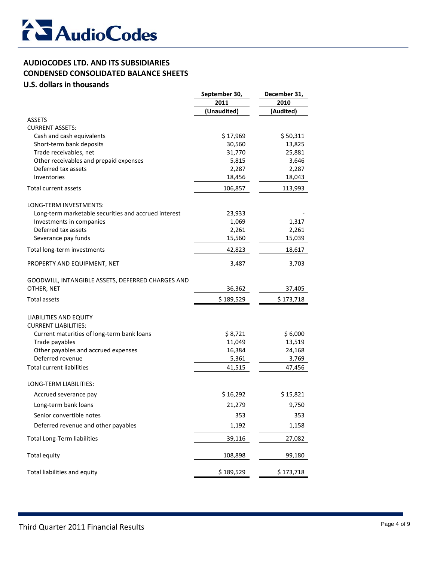

#### **AUDIOCODES LTD. AND ITS SUBSIDIARIES CONDENSED CONSOLIDATED BALANCE SHEETS**

#### **U.S. dollars in thousands**

|                                                      | September 30, | December 31, |
|------------------------------------------------------|---------------|--------------|
|                                                      | 2011          | 2010         |
|                                                      | (Unaudited)   | (Audited)    |
| <b>ASSETS</b>                                        |               |              |
| <b>CURRENT ASSETS:</b>                               |               |              |
| Cash and cash equivalents                            | \$17,969      | \$50,311     |
| Short-term bank deposits                             | 30,560        | 13,825       |
| Trade receivables, net                               | 31,770        | 25,881       |
| Other receivables and prepaid expenses               | 5,815         | 3,646        |
| Deferred tax assets<br>Inventories                   | 2,287         | 2,287        |
|                                                      | 18,456        | 18,043       |
| Total current assets                                 | 106,857       | 113,993      |
| LONG-TERM INVESTMENTS:                               |               |              |
| Long-term marketable securities and accrued interest | 23,933        |              |
| Investments in companies                             | 1,069         | 1,317        |
| Deferred tax assets                                  | 2,261         | 2,261        |
| Severance pay funds                                  | 15,560        | 15,039       |
| Total long-term investments                          | 42,823        | 18,617       |
| PROPERTY AND EQUIPMENT, NET                          | 3,487         | 3,703        |
| GOODWILL, INTANGIBLE ASSETS, DEFERRED CHARGES AND    |               |              |
| OTHER, NET                                           | 36,362        | 37,405       |
| Total assets                                         | \$189,529     | \$173,718    |
| LIABILITIES AND EQUITY                               |               |              |
| <b>CURRENT LIABILITIES:</b>                          |               |              |
| Current maturities of long-term bank loans           | \$8,721       | \$6,000      |
| Trade payables                                       | 11,049        | 13,519       |
| Other payables and accrued expenses                  | 16,384        | 24,168       |
| Deferred revenue                                     | 5,361         | 3,769        |
| <b>Total current liabilities</b>                     | 41,515        | 47,456       |
| LONG-TERM LIABILITIES:                               |               |              |
| Accrued severance pay                                | \$16,292      | \$15,821     |
| Long-term bank loans                                 | 21,279        | 9,750        |
| Senior convertible notes                             | 353           | 353          |
| Deferred revenue and other payables                  | 1,192         | 1,158        |
| <b>Total Long-Term liabilities</b>                   | 39,116        | 27,082       |
| <b>Total equity</b>                                  | 108,898       | 99,180       |
| Total liabilities and equity                         | \$189,529     | \$173,718    |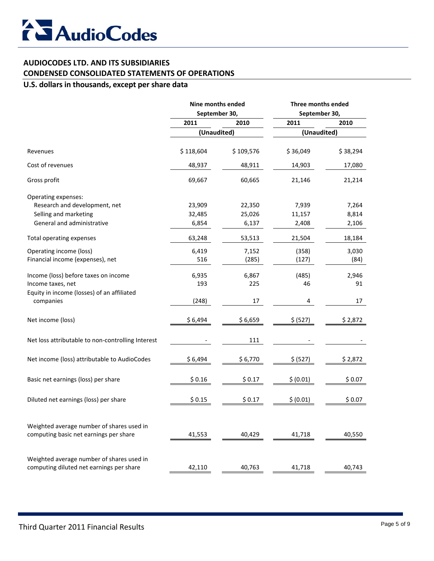

# **AUDIOCODES LTD. AND ITS SUBSIDIARIES CONDENSED CONSOLIDATED STATEMENTS OF OPERATIONS**

#### **U.S. dollars in thousands, except per share data**

|                                                                                       | Nine months ended<br>September 30, |                  | Three months ended<br>September 30, |                |
|---------------------------------------------------------------------------------------|------------------------------------|------------------|-------------------------------------|----------------|
|                                                                                       |                                    |                  |                                     |                |
|                                                                                       | 2011                               | 2010             | 2011                                | 2010           |
|                                                                                       | (Unaudited)                        |                  | (Unaudited)                         |                |
| Revenues                                                                              | \$118,604                          | \$109,576        | \$36,049                            | \$38,294       |
| Cost of revenues                                                                      | 48,937                             | 48,911           | 14,903                              | 17,080         |
| Gross profit                                                                          | 69,667                             | 60,665           | 21,146                              | 21,214         |
| Operating expenses:<br>Research and development, net<br>Selling and marketing         | 23,909<br>32,485                   | 22,350<br>25,026 | 7,939<br>11,157                     | 7,264<br>8,814 |
| General and administrative                                                            | 6,854                              | 6,137            | 2,408                               | 2,106          |
| Total operating expenses                                                              | 63,248                             | 53,513           | 21,504                              | 18,184         |
| Operating income (loss)<br>Financial income (expenses), net                           | 6,419<br>516                       | 7,152<br>(285)   | (358)<br>(127)                      | 3,030<br>(84)  |
| Income (loss) before taxes on income<br>Income taxes, net                             | 6,935<br>193                       | 6,867<br>225     | (485)<br>46                         | 2,946<br>91    |
| Equity in income (losses) of an affiliated<br>companies                               | (248)                              | 17               | 4                                   | 17             |
| Net income (loss)                                                                     | \$6,494                            | \$6,659          | \$ (527)                            | \$2,872        |
| Net loss attributable to non-controlling Interest                                     |                                    | 111              |                                     |                |
| Net income (loss) attributable to AudioCodes                                          | \$6,494                            | \$6,770          | \$ (527)                            | \$2,872        |
| Basic net earnings (loss) per share                                                   | \$0.16                             | \$0.17           | \$ (0.01)                           | \$0.07         |
| Diluted net earnings (loss) per share                                                 | \$0.15                             | \$0.17           | \$ (0.01)                           | \$0.07         |
| Weighted average number of shares used in<br>computing basic net earnings per share   | 41,553                             | 40,429           | 41,718                              | 40,550         |
| Weighted average number of shares used in<br>computing diluted net earnings per share | 42,110                             | 40,763           | 41,718                              | 40,743         |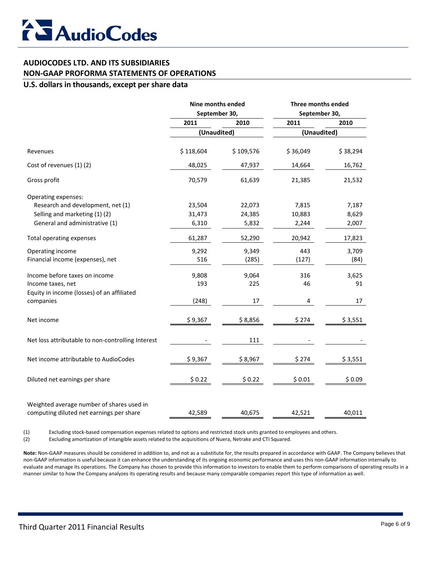# **AUDIOCODES LTD. AND ITS SUBSIDIARIES NON‐GAAP PROFORMA STATEMENTS OF OPERATIONS**

#### **U.S. dollars in thousands, except per share data**

| Nine months ended<br>September 30, |           | Three months ended<br>September 30, |          |
|------------------------------------|-----------|-------------------------------------|----------|
|                                    |           |                                     |          |
| (Unaudited)                        |           | (Unaudited)                         |          |
| \$118,604                          | \$109,576 | \$36,049                            | \$38,294 |
| 48,025                             | 47,937    | 14,664                              | 16,762   |
| 70,579                             | 61,639    | 21,385                              | 21,532   |
|                                    |           |                                     |          |
| 23,504                             | 22,073    | 7,815                               | 7,187    |
| 31,473                             | 24,385    | 10,883                              | 8,629    |
| 6,310                              | 5,832     | 2,244                               | 2,007    |
| 61,287                             | 52,290    | 20,942                              | 17,823   |
| 9,292                              | 9,349     | 443                                 | 3,709    |
| 516                                | (285)     | (127)                               | (84)     |
| 9,808                              | 9,064     | 316                                 | 3,625    |
| 193                                | 225       | 46                                  | 91       |
|                                    |           |                                     |          |
|                                    | 17        | 4                                   | 17       |
| \$9,367                            | \$8,856   | \$274                               | \$3,551  |
|                                    | 111       |                                     |          |
| \$9,367                            | \$8,967   | \$274                               | \$3,551  |
| \$0.22                             | \$0.22    | \$0.01                              | \$0.09   |
|                                    |           |                                     |          |
| 42,589                             | 40,675    | 42,521                              | 40,011   |
|                                    | (248)     |                                     |          |

(1) Excluding stock‐based compensation expenses related to options and restricted stock units granted to employees and others.

(2) Excluding amortization of intangible assets related to the acquisitions of Nuera, Netrake and CTI Squared.

**Note:** Non‐GAAP measures should be considered in addition to, and not as a substitute for, the results prepared in accordance with GAAP. The Company believes that non-GAAP information is useful because it can enhance the understanding of its ongoing economic performance and uses this non-GAAP information internally to evaluate and manage its operations. The Company has chosen to provide this information to investors to enable them to perform comparisons of operating results in a manner similar to how the Company analyzes its operating results and because many comparable companies report this type of information as well.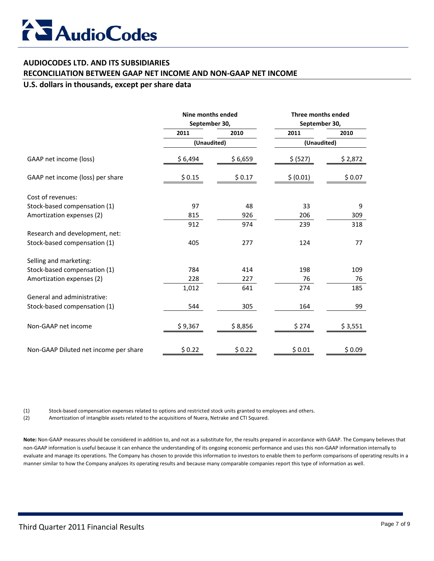

#### **AUDIOCODES LTD. AND ITS SUBSIDIARIES**

#### **RECONCILIATION BETWEEN GAAP NET INCOME AND NON‐GAAP NET INCOME**

#### **U.S. dollars in thousands, except per share data**

|                                       | Nine months ended<br>September 30, |         | Three months ended<br>September 30, |         |
|---------------------------------------|------------------------------------|---------|-------------------------------------|---------|
|                                       | 2011                               | 2010    | 2011                                | 2010    |
|                                       | (Unaudited)                        |         | (Unaudited)                         |         |
| GAAP net income (loss)                | \$6,494                            | \$6,659 | \$ (527)                            | \$2,872 |
| GAAP net income (loss) per share      | \$0.15                             | \$0.17  | \$ (0.01)                           | \$0.07  |
| Cost of revenues:                     |                                    |         |                                     |         |
| Stock-based compensation (1)          | 97                                 | 48      | 33                                  | 9       |
| Amortization expenses (2)             | 815                                | 926     | 206                                 | 309     |
|                                       | 912                                | 974     | 239                                 | 318     |
| Research and development, net:        |                                    |         |                                     |         |
| Stock-based compensation (1)          | 405                                | 277     | 124                                 | 77      |
| Selling and marketing:                |                                    |         |                                     |         |
| Stock-based compensation (1)          | 784                                | 414     | 198                                 | 109     |
| Amortization expenses (2)             | 228                                | 227     | 76                                  | 76      |
|                                       | 1,012                              | 641     | 274                                 | 185     |
| General and administrative:           |                                    |         |                                     |         |
| Stock-based compensation (1)          | 544                                | 305     | 164                                 | 99      |
| Non-GAAP net income                   | \$9,367                            | \$8,856 | \$274                               | \$3,551 |
| Non-GAAP Diluted net income per share | \$0.22                             | \$0.22  | \$0.01                              | \$0.09  |

(1) Stock‐based compensation expenses related to options and restricted stock units granted to employees and others.

(2) Amortization of intangible assets related to the acquisitions of Nuera, Netrake and CTI Squared.

**Note:** Non‐GAAP measures should be considered in addition to, and not as a substitute for, the results prepared in accordance with GAAP. The Company believes that non-GAAP information is useful because it can enhance the understanding of its ongoing economic performance and uses this non-GAAP information internally to evaluate and manage its operations. The Company has chosen to provide this information to investors to enable them to perform comparisons of operating results in a manner similar to how the Company analyzes its operating results and because many comparable companies report this type of information as well.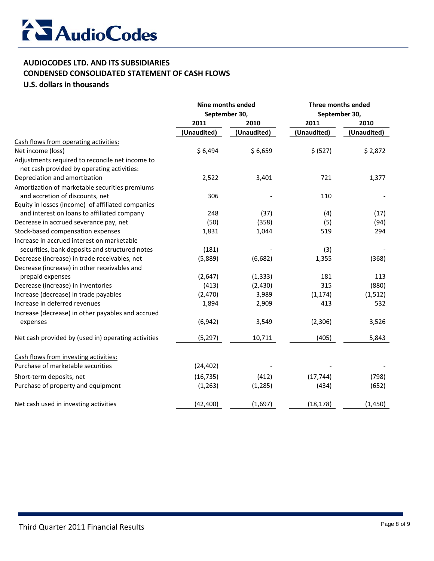

## **AUDIOCODES LTD. AND ITS SUBSIDIARIES CONDENSED CONSOLIDATED STATEMENT OF CASH FLOWS**

#### **U.S. dollars in thousands**

|                                                                                               | <b>Nine months ended</b><br>September 30, |             | Three months ended<br>September 30, |             |
|-----------------------------------------------------------------------------------------------|-------------------------------------------|-------------|-------------------------------------|-------------|
|                                                                                               |                                           |             |                                     |             |
|                                                                                               | 2011                                      | 2010        | 2011                                | 2010        |
|                                                                                               | (Unaudited)                               | (Unaudited) | (Unaudited)                         | (Unaudited) |
| Cash flows from operating activities:                                                         |                                           |             |                                     |             |
| Net income (loss)                                                                             | \$6,494                                   | \$6,659     | \$ (527)                            | \$2,872     |
| Adjustments required to reconcile net income to<br>net cash provided by operating activities: |                                           |             |                                     |             |
| Depreciation and amortization                                                                 | 2,522                                     | 3,401       | 721                                 | 1,377       |
| Amortization of marketable securities premiums<br>and accretion of discounts, net             | 306                                       |             | 110                                 |             |
| Equity in losses (income) of affiliated companies                                             |                                           |             |                                     |             |
| and interest on loans to affiliated company                                                   | 248                                       | (37)        | (4)                                 | (17)        |
| Decrease in accrued severance pay, net                                                        | (50)                                      | (358)       | (5)                                 | (94)        |
| Stock-based compensation expenses                                                             | 1,831                                     | 1,044       | 519                                 | 294         |
| Increase in accrued interest on marketable                                                    |                                           |             |                                     |             |
| securities, bank deposits and structured notes                                                | (181)                                     |             | (3)                                 |             |
| Decrease (increase) in trade receivables, net                                                 | (5,889)                                   | (6,682)     | 1,355                               | (368)       |
| Decrease (increase) in other receivables and                                                  |                                           |             |                                     |             |
| prepaid expenses                                                                              | (2,647)                                   | (1, 333)    | 181                                 | 113         |
| Decrease (increase) in inventories                                                            | (413)                                     | (2, 430)    | 315                                 | (880)       |
| Increase (decrease) in trade payables                                                         | (2,470)                                   | 3,989       | (1, 174)                            | (1, 512)    |
| Increase in deferred revenues                                                                 | 1,894                                     | 2,909       | 413                                 | 532         |
| Increase (decrease) in other payables and accrued                                             |                                           |             |                                     |             |
| expenses                                                                                      | (6, 942)                                  | 3,549       | (2,306)                             | 3,526       |
| Net cash provided by (used in) operating activities                                           | (5, 297)                                  | 10,711      | (405)                               | 5,843       |
| Cash flows from investing activities:                                                         |                                           |             |                                     |             |
| Purchase of marketable securities                                                             | (24, 402)                                 |             |                                     |             |
| Short-term deposits, net                                                                      | (16, 735)                                 | (412)       | (17, 744)                           | (798)       |
| Purchase of property and equipment                                                            | (1, 263)                                  | (1,285)     | (434)                               | (652)       |
| Net cash used in investing activities                                                         | (42, 400)                                 | (1,697)     | (18, 178)                           | (1, 450)    |